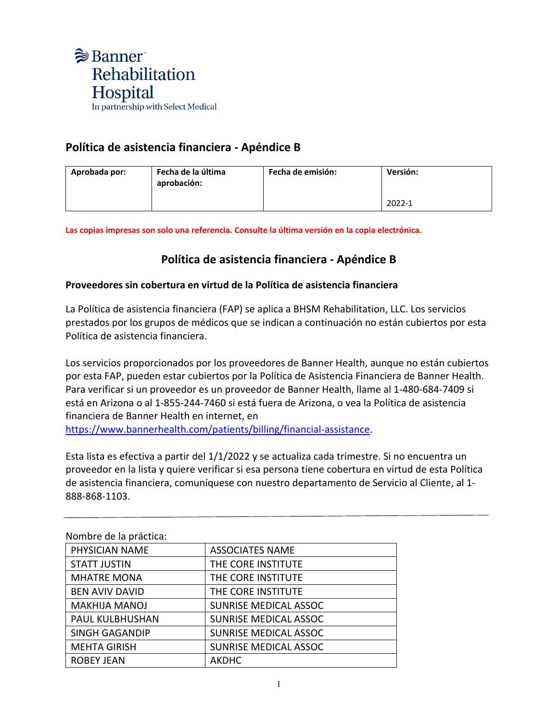

## **Política de asistencia financiera - Apéndice B**

| Aprobada por: | Fecha de la última<br>aprobación: | Fecha de emisión: | Versión: |
|---------------|-----------------------------------|-------------------|----------|
|               |                                   |                   | 2022-1   |

**Las copias impresas son solo una referencia. Consulte la última versión en la copia electrónica.**

## **Política de asistencia financiera - Apéndice B**

## **Proveedores sin cobertura en virtud de la Política de asistencia financiera**

La Política de asistencia financiera (FAP) se aplica a BHSM Rehabilitation, LLC. Los servicios prestados por los grupos de médicos que se indican a continuación no están cubiertos por esta Política de asistencia financiera.

Los servicios proporcionados por los proveedores de Banner Health, aunque no están cubiertos por esta FAP, pueden estar cubiertos por la Política de Asistencia Financiera de Banner Health. Para verificar si un proveedor es un proveedor de Banner Health, llame al 1-480-684-7409 si está en Arizona o al 1-855-244-7460 si está fuera de Arizona, o vea la Política de asistencia financiera de Banner Health en internet, en [https://www.bannerhealth.com/patients/billing/financial-assistance.](https://www.bannerhealth.com/patients/billing/financial-assistance)

Esta lista es efectiva a partir del 1/1/2022 y se actualiza cada trimestre. Si no encuentra un proveedor en la lista y quiere verificar si esa persona tiene cobertura en virtud de esta Política de asistencia financiera, comuníquese con nuestro departamento de Servicio al Cliente, al 1- 888-868-1103.

| indiffulne de la practica. |                              |  |
|----------------------------|------------------------------|--|
| PHYSICIAN NAME             | <b>ASSOCIATES NAME</b>       |  |
| <b>STATT JUSTIN</b>        | THE CORE INSTITUTE           |  |
| <b>MHATRE MONA</b>         | THE CORE INSTITUTE           |  |
| <b>BEN AVIV DAVID</b>      | THE CORE INSTITUTE           |  |
| <b>MAKHIJA MANOJ</b>       | <b>SUNRISE MEDICAL ASSOC</b> |  |
| PAUL KULBHUSHAN            | <b>SUNRISE MEDICAL ASSOC</b> |  |
| <b>SINGH GAGANDIP</b>      | <b>SUNRISE MEDICAL ASSOC</b> |  |
| <b>MEHTA GIRISH</b>        | <b>SUNRISE MEDICAL ASSOC</b> |  |
| <b>ROBEY JEAN</b>          | <b>AKDHC</b>                 |  |

Nombro de la práctica: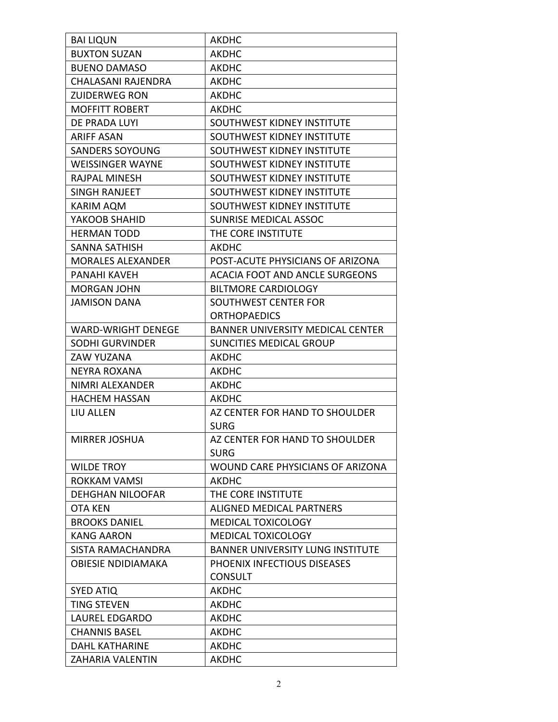| <b>BAI LIQUN</b>          | <b>AKDHC</b>                            |
|---------------------------|-----------------------------------------|
| <b>BUXTON SUZAN</b>       | AKDHC                                   |
| <b>BUENO DAMASO</b>       | <b>AKDHC</b>                            |
| CHALASANI RAJENDRA        | AKDHC                                   |
| <b>ZUIDERWEG RON</b>      | <b>AKDHC</b>                            |
| <b>MOFFITT ROBERT</b>     | <b>AKDHC</b>                            |
| DE PRADA LUYI             | SOUTHWEST KIDNEY INSTITUTE              |
| <b>ARIFF ASAN</b>         | SOUTHWEST KIDNEY INSTITUTE              |
| <b>SANDERS SOYOUNG</b>    | SOUTHWEST KIDNEY INSTITUTE              |
| <b>WEISSINGER WAYNE</b>   | SOUTHWEST KIDNEY INSTITUTE              |
| <b>RAJPAL MINESH</b>      | SOUTHWEST KIDNEY INSTITUTE              |
| <b>SINGH RANJEET</b>      | SOUTHWEST KIDNEY INSTITUTE              |
| KARIM AQM                 | SOUTHWEST KIDNEY INSTITUTE              |
| YAKOOB SHAHID             | <b>SUNRISE MEDICAL ASSOC</b>            |
| <b>HERMAN TODD</b>        | THE CORE INSTITUTE                      |
| <b>SANNA SATHISH</b>      | <b>AKDHC</b>                            |
| <b>MORALES ALEXANDER</b>  | POST-ACUTE PHYSICIANS OF ARIZONA        |
| PANAHI KAVEH              | <b>ACACIA FOOT AND ANCLE SURGEONS</b>   |
| <b>MORGAN JOHN</b>        | <b>BILTMORE CARDIOLOGY</b>              |
| <b>JAMISON DANA</b>       | <b>SOUTHWEST CENTER FOR</b>             |
|                           | <b>ORTHOPAEDICS</b>                     |
| <b>WARD-WRIGHT DENEGE</b> | <b>BANNER UNIVERSITY MEDICAL CENTER</b> |
| <b>SODHI GURVINDER</b>    | <b>SUNCITIES MEDICAL GROUP</b>          |
| ZAW YUZANA                | <b>AKDHC</b>                            |
| NEYRA ROXANA              | AKDHC                                   |
| NIMRI ALEXANDER           | <b>AKDHC</b>                            |
| <b>HACHEM HASSAN</b>      | <b>AKDHC</b>                            |
| <b>LIU ALLEN</b>          | AZ CENTER FOR HAND TO SHOULDER          |
|                           | <b>SURG</b>                             |
| MIRRER JOSHUA             | AZ CENTER FOR HAND TO SHOULDER          |
|                           | <b>SURG</b>                             |
| <b>WILDE TROY</b>         | WOUND CARE PHYSICIANS OF ARIZONA        |
| ROKKAM VAMSI              | <b>AKDHC</b>                            |
| <b>DEHGHAN NILOOFAR</b>   | THE CORE INSTITUTE                      |
| OTA KEN                   | <b>ALIGNED MEDICAL PARTNERS</b>         |
| <b>BROOKS DANIEL</b>      | MEDICAL TOXICOLOGY                      |
| <b>KANG AARON</b>         | MEDICAL TOXICOLOGY                      |
| SISTA RAMACHANDRA         | <b>BANNER UNIVERSITY LUNG INSTITUTE</b> |
| <b>OBIESIE NDIDIAMAKA</b> | PHOENIX INFECTIOUS DISEASES             |
|                           | <b>CONSULT</b>                          |
| <b>SYED ATIQ</b>          | <b>AKDHC</b>                            |
| <b>TING STEVEN</b>        | <b>AKDHC</b>                            |
| <b>LAUREL EDGARDO</b>     | <b>AKDHC</b>                            |
| <b>CHANNIS BASEL</b>      | <b>AKDHC</b>                            |
| <b>DAHL KATHARINE</b>     | <b>AKDHC</b>                            |
| ZAHARIA VALENTIN          | <b>AKDHC</b>                            |
|                           |                                         |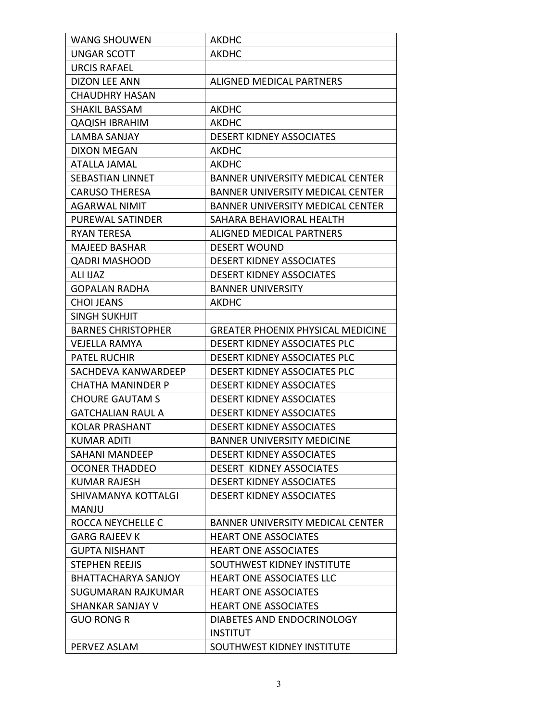| <b>WANG SHOUWEN</b>        | <b>AKDHC</b>                             |
|----------------------------|------------------------------------------|
| UNGAR SCOTT                | AKDHC                                    |
| <b>URCIS RAFAEL</b>        |                                          |
| DIZON LEE ANN              | ALIGNED MEDICAL PARTNERS                 |
| <b>CHAUDHRY HASAN</b>      |                                          |
| <b>SHAKIL BASSAM</b>       | AKDHC                                    |
| <b>QAQISH IBRAHIM</b>      | <b>AKDHC</b>                             |
| <b>LAMBA SANJAY</b>        | <b>DESERT KIDNEY ASSOCIATES</b>          |
| <b>DIXON MEGAN</b>         | AKDHC                                    |
| <b>ATALLA JAMAL</b>        | <b>AKDHC</b>                             |
| <b>SEBASTIAN LINNET</b>    | <b>BANNER UNIVERSITY MEDICAL CENTER</b>  |
| <b>CARUSO THERESA</b>      | <b>BANNER UNIVERSITY MEDICAL CENTER</b>  |
| <b>AGARWAL NIMIT</b>       | <b>BANNER UNIVERSITY MEDICAL CENTER</b>  |
| <b>PUREWAL SATINDER</b>    | SAHARA BEHAVIORAL HEALTH                 |
| RYAN TERESA                | ALIGNED MEDICAL PARTNERS                 |
| <b>MAJEED BASHAR</b>       | <b>DESERT WOUND</b>                      |
| <b>QADRI MASHOOD</b>       | <b>DESERT KIDNEY ASSOCIATES</b>          |
| <b>ALI IJAZ</b>            | <b>DESERT KIDNEY ASSOCIATES</b>          |
| <b>GOPALAN RADHA</b>       | <b>BANNER UNIVERSITY</b>                 |
| <b>CHOI JEANS</b>          | <b>AKDHC</b>                             |
| <b>SINGH SUKHJIT</b>       |                                          |
| <b>BARNES CHRISTOPHER</b>  | <b>GREATER PHOENIX PHYSICAL MEDICINE</b> |
| <b>VEJELLA RAMYA</b>       | DESERT KIDNEY ASSOCIATES PLC             |
| <b>PATEL RUCHIR</b>        | <b>DESERT KIDNEY ASSOCIATES PLC</b>      |
| SACHDEVA KANWARDEEP        | DESERT KIDNEY ASSOCIATES PLC             |
| <b>CHATHA MANINDER P</b>   | <b>DESERT KIDNEY ASSOCIATES</b>          |
| <b>CHOURE GAUTAM S</b>     | <b>DESERT KIDNEY ASSOCIATES</b>          |
| <b>GATCHALIAN RAUL A</b>   | <b>DESERT KIDNEY ASSOCIATES</b>          |
| <b>KOLAR PRASHANT</b>      | <b>DESERT KIDNEY ASSOCIATES</b>          |
| <b>KUMAR ADITI</b>         | <b>BANNER UNIVERSITY MEDICINE</b>        |
| SAHANI MANDEEP             | <b>DESERT KIDNEY ASSOCIATES</b>          |
| <b>OCONER THADDEO</b>      | <b>DESERT KIDNEY ASSOCIATES</b>          |
| <b>KUMAR RAJESH</b>        | <b>DESERT KIDNEY ASSOCIATES</b>          |
| SHIVAMANYA KOTTALGI        | <b>DESERT KIDNEY ASSOCIATES</b>          |
| <b>MANJU</b>               |                                          |
| ROCCA NEYCHELLE C          | <b>BANNER UNIVERSITY MEDICAL CENTER</b>  |
| <b>GARG RAJEEV K</b>       | <b>HEART ONE ASSOCIATES</b>              |
| <b>GUPTA NISHANT</b>       | <b>HEART ONE ASSOCIATES</b>              |
| <b>STEPHEN REEJIS</b>      | SOUTHWEST KIDNEY INSTITUTE               |
| <b>BHATTACHARYA SANJOY</b> | <b>HEART ONE ASSOCIATES LLC</b>          |
| SUGUMARAN RAJKUMAR         | <b>HEART ONE ASSOCIATES</b>              |
| <b>SHANKAR SANJAY V</b>    | <b>HEART ONE ASSOCIATES</b>              |
| <b>GUO RONG R</b>          | DIABETES AND ENDOCRINOLOGY               |
|                            | <b>INSTITUT</b>                          |
| PERVEZ ASLAM               | SOUTHWEST KIDNEY INSTITUTE               |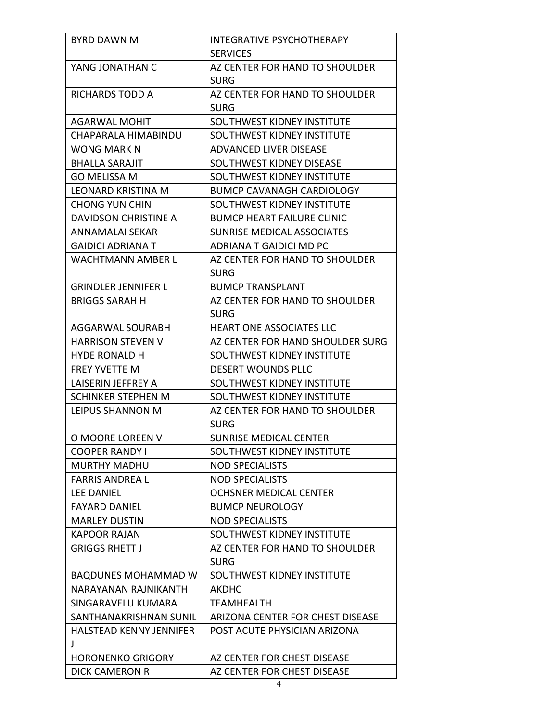| <b>BYRD DAWN M</b>         | <b>INTEGRATIVE PSYCHOTHERAPY</b>  |
|----------------------------|-----------------------------------|
|                            | <b>SERVICES</b>                   |
| YANG JONATHAN C            | AZ CENTER FOR HAND TO SHOULDER    |
|                            | <b>SURG</b>                       |
| <b>RICHARDS TODD A</b>     | AZ CENTER FOR HAND TO SHOULDER    |
|                            | <b>SURG</b>                       |
| <b>AGARWAL MOHIT</b>       | SOUTHWEST KIDNEY INSTITUTE        |
| CHAPARALA HIMABINDU        | SOUTHWEST KIDNEY INSTITUTE        |
| <b>WONG MARK N</b>         | ADVANCED LIVER DISEASE            |
| <b>BHALLA SARAJIT</b>      | SOUTHWEST KIDNEY DISEASE          |
| <b>GO MELISSA M</b>        | SOUTHWEST KIDNEY INSTITUTE        |
| <b>LEONARD KRISTINA M</b>  | <b>BUMCP CAVANAGH CARDIOLOGY</b>  |
| <b>CHONG YUN CHIN</b>      | SOUTHWEST KIDNEY INSTITUTE        |
| DAVIDSON CHRISTINE A       | <b>BUMCP HEART FAILURE CLINIC</b> |
| ANNAMALAI SEKAR            | <b>SUNRISE MEDICAL ASSOCIATES</b> |
| <b>GAIDICI ADRIANA T</b>   | ADRIANA T GAIDICI MD PC           |
| <b>WACHTMANN AMBER L</b>   | AZ CENTER FOR HAND TO SHOULDER    |
|                            | <b>SURG</b>                       |
| <b>GRINDLER JENNIFER L</b> | <b>BUMCP TRANSPLANT</b>           |
| <b>BRIGGS SARAH H</b>      | AZ CENTER FOR HAND TO SHOULDER    |
|                            | <b>SURG</b>                       |
| <b>AGGARWAL SOURABH</b>    | <b>HEART ONE ASSOCIATES LLC</b>   |
| <b>HARRISON STEVEN V</b>   | AZ CENTER FOR HAND SHOULDER SURG  |
| HYDE RONALD H              | SOUTHWEST KIDNEY INSTITUTE        |
| <b>FREY YVETTE M</b>       | DESERT WOUNDS PLLC                |
| LAISERIN JEFFREY A         | SOUTHWEST KIDNEY INSTITUTE        |
| SCHINKER STEPHEN M         | SOUTHWEST KIDNEY INSTITUTE        |
| LEIPUS SHANNON M           | AZ CENTER FOR HAND TO SHOULDER    |
|                            | <b>SURG</b>                       |
| O MOORE LOREEN V           | SUNRISE MEDICAL CENTER            |
| <b>COOPER RANDY I</b>      | SOUTHWEST KIDNEY INSTITUTE        |
| <b>MURTHY MADHU</b>        | <b>NOD SPECIALISTS</b>            |
| <b>FARRIS ANDREA L</b>     | <b>NOD SPECIALISTS</b>            |
| <b>LEE DANIEL</b>          | <b>OCHSNER MEDICAL CENTER</b>     |
| <b>FAYARD DANIEL</b>       | <b>BUMCP NEUROLOGY</b>            |
| <b>MARLEY DUSTIN</b>       | <b>NOD SPECIALISTS</b>            |
| <b>KAPOOR RAJAN</b>        | SOUTHWEST KIDNEY INSTITUTE        |
| <b>GRIGGS RHETT J</b>      | AZ CENTER FOR HAND TO SHOULDER    |
|                            | <b>SURG</b>                       |
| <b>BAQDUNES MOHAMMAD W</b> | SOUTHWEST KIDNEY INSTITUTE        |
| NARAYANAN RAJNIKANTH       | AKDHC                             |
| SINGARAVELU KUMARA         | TEAMHEALTH                        |
| SANTHANAKRISHNAN SUNIL     | ARIZONA CENTER FOR CHEST DISEASE  |
| HALSTEAD KENNY JENNIFER    | POST ACUTE PHYSICIAN ARIZONA      |
| J                          |                                   |
| <b>HORONENKO GRIGORY</b>   | AZ CENTER FOR CHEST DISEASE       |
| <b>DICK CAMERON R</b>      | AZ CENTER FOR CHEST DISEASE       |
|                            |                                   |